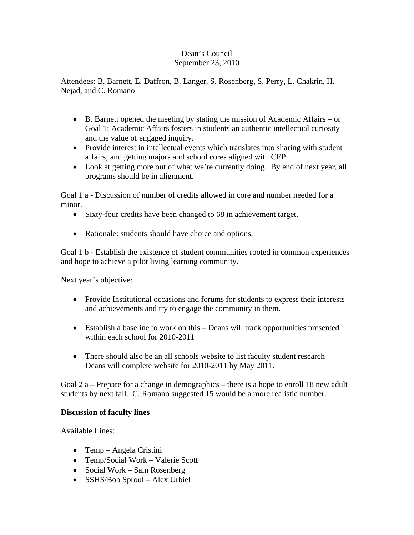## Dean's Council September 23, 2010

Attendees: B. Barnett, E. Daffron, B. Langer, S. Rosenberg, S. Perry, L. Chakrin, H. Nejad, and C. Romano

- B. Barnett opened the meeting by stating the mission of Academic Affairs or Goal 1: Academic Affairs fosters in students an authentic intellectual curiosity and the value of engaged inquiry.
- Provide interest in intellectual events which translates into sharing with student affairs; and getting majors and school cores aligned with CEP.
- Look at getting more out of what we're currently doing. By end of next year, all programs should be in alignment.

Goal 1 a - Discussion of number of credits allowed in core and number needed for a minor.

- Sixty-four credits have been changed to 68 in achievement target.
- Rationale: students should have choice and options.

Goal 1 b - Establish the existence of student communities rooted in common experiences and hope to achieve a pilot living learning community.

Next year's objective:

- Provide Institutional occasions and forums for students to express their interests and achievements and try to engage the community in them.
- Establish a baseline to work on this Deans will track opportunities presented within each school for 2010-2011
- There should also be an all schools website to list faculty student research Deans will complete website for 2010-2011 by May 2011.

Goal 2 a – Prepare for a change in demographics – there is a hope to enroll 18 new adult students by next fall. C. Romano suggested 15 would be a more realistic number.

## **Discussion of faculty lines**

Available Lines:

- Temp Angela Cristini
- Temp/Social Work Valerie Scott
- Social Work Sam Rosenberg
- SSHS/Bob Sproul Alex Urbiel